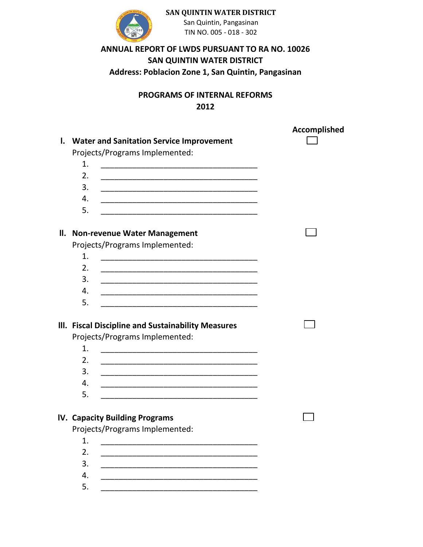

**SAN QUINTIN WATER DISTRICT**

San Quintin, Pangasinan TIN NO. 005 - 018 - 302

## **ANNUAL REPORT OF LWDS PURSUANT TO RA NO. 10026 SAN QUINTIN WATER DISTRICT Address: Poblacion Zone 1, San Quintin, Pangasinan**

## **PROGRAMS OF INTERNAL REFORMS 2012**

|     |                                                                                                                             | <b>Accomplished</b> |
|-----|-----------------------------------------------------------------------------------------------------------------------------|---------------------|
| I.  | <b>Water and Sanitation Service Improvement</b>                                                                             |                     |
|     | Projects/Programs Implemented:                                                                                              |                     |
|     | 1.                                                                                                                          |                     |
|     | 2.                                                                                                                          |                     |
|     | 3.                                                                                                                          |                     |
|     | 4.<br><u> 1989 - Johann Barbara, martxa alemaniar argumento este alemaniar alemaniar alemaniar alemaniar alemaniar al</u>   |                     |
|     | 5.<br><u> 1989 - Johann Harry Harry Harry Harry Harry Harry Harry Harry Harry Harry Harry Harry Harry Harry Harry Harry</u> |                     |
| II. | <b>Non-revenue Water Management</b>                                                                                         |                     |
|     | Projects/Programs Implemented:                                                                                              |                     |
|     | 1.                                                                                                                          |                     |
|     | 2.<br><u> 1980 - Johann John Stoff, deutscher Stoffen und der Stoffen und der Stoffen und der Stoffen und der Stoffen</u>   |                     |
|     | 3.<br><u> 1989 - Johann John Stoff, deutscher Stoffen und der Stoffen und der Stoffen und der Stoffen und der Stoffen</u>   |                     |
|     | 4.                                                                                                                          |                     |
|     | 5.                                                                                                                          |                     |
|     |                                                                                                                             |                     |
|     | III. Fiscal Discipline and Sustainability Measures                                                                          |                     |
|     | Projects/Programs Implemented:                                                                                              |                     |
|     | 1.                                                                                                                          |                     |
|     | 2.                                                                                                                          |                     |
|     | 3.                                                                                                                          |                     |
|     | 4.<br><u> 1989 - Johann Harry Harry Harry Harry Harry Harry Harry Harry Harry Harry Harry Harry Harry Harry Harry Harry</u> |                     |
|     | 5.                                                                                                                          |                     |
|     |                                                                                                                             |                     |
|     | IV. Capacity Building Programs                                                                                              |                     |
|     | Projects/Programs Implemented:                                                                                              |                     |
|     | 1.                                                                                                                          |                     |
|     | 2.                                                                                                                          |                     |
|     | 3.                                                                                                                          |                     |
|     | 4.                                                                                                                          |                     |
|     | 5.                                                                                                                          |                     |
|     |                                                                                                                             |                     |
|     |                                                                                                                             |                     |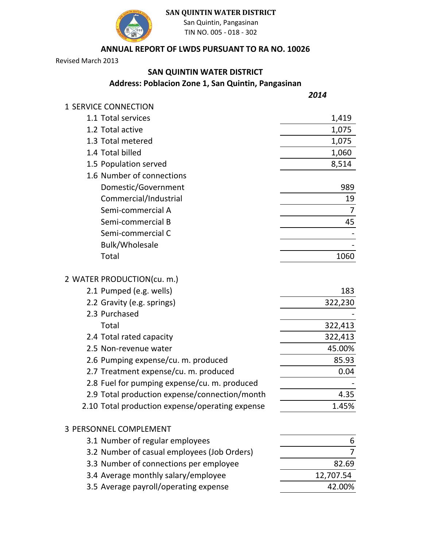

### **SAN QUINTIN WATER DISTRICT**

San Quintin, Pangasinan TIN NO. 005 - 018 - 302

### **ANNUAL REPORT OF LWDS PURSUANT TO RA NO. 10026**

Revised March 2013

## **SAN QUINTIN WATER DISTRICT**

**Address: Poblacion Zone 1, San Quintin, Pangasinan**

*2014*

| 1 SERVICE CONNECTION                            |                |
|-------------------------------------------------|----------------|
| 1.1 Total services                              | 1,419          |
| 1.2 Total active                                | 1,075          |
| 1.3 Total metered                               | 1,075          |
| 1.4 Total billed                                | 1,060          |
| 1.5 Population served                           | 8,514          |
| 1.6 Number of connections                       |                |
| Domestic/Government                             | 989            |
| Commercial/Industrial                           | 19             |
| Semi-commercial A                               | 7              |
| Semi-commercial B                               | 45             |
| Semi-commercial C                               |                |
| <b>Bulk/Wholesale</b>                           |                |
| Total                                           | 1060           |
| 2 WATER PRODUCTION(cu. m.)                      |                |
| 2.1 Pumped (e.g. wells)                         | 183            |
| 2.2 Gravity (e.g. springs)                      | 322,230        |
| 2.3 Purchased                                   |                |
| Total                                           | 322,413        |
| 2.4 Total rated capacity                        | 322,413        |
| 2.5 Non-revenue water                           | 45.00%         |
| 2.6 Pumping expense/cu. m. produced             | 85.93          |
| 2.7 Treatment expense/cu. m. produced           | 0.04           |
| 2.8 Fuel for pumping expense/cu. m. produced    |                |
| 2.9 Total production expense/connection/month   | 4.35           |
| 2.10 Total production expense/operating expense | 1.45%          |
| <b>3 PERSONNEL COMPLEMENT</b>                   |                |
| 3.1 Number of regular employees                 | 6              |
| 3.2 Number of casual employees (Job Orders)     | $\overline{7}$ |
| 3.3 Number of connections per employee          | 82.69          |
| 3.4 Average monthly salary/employee             | 12,707.54      |

3.5 Average payroll/operating expense **12.00%**